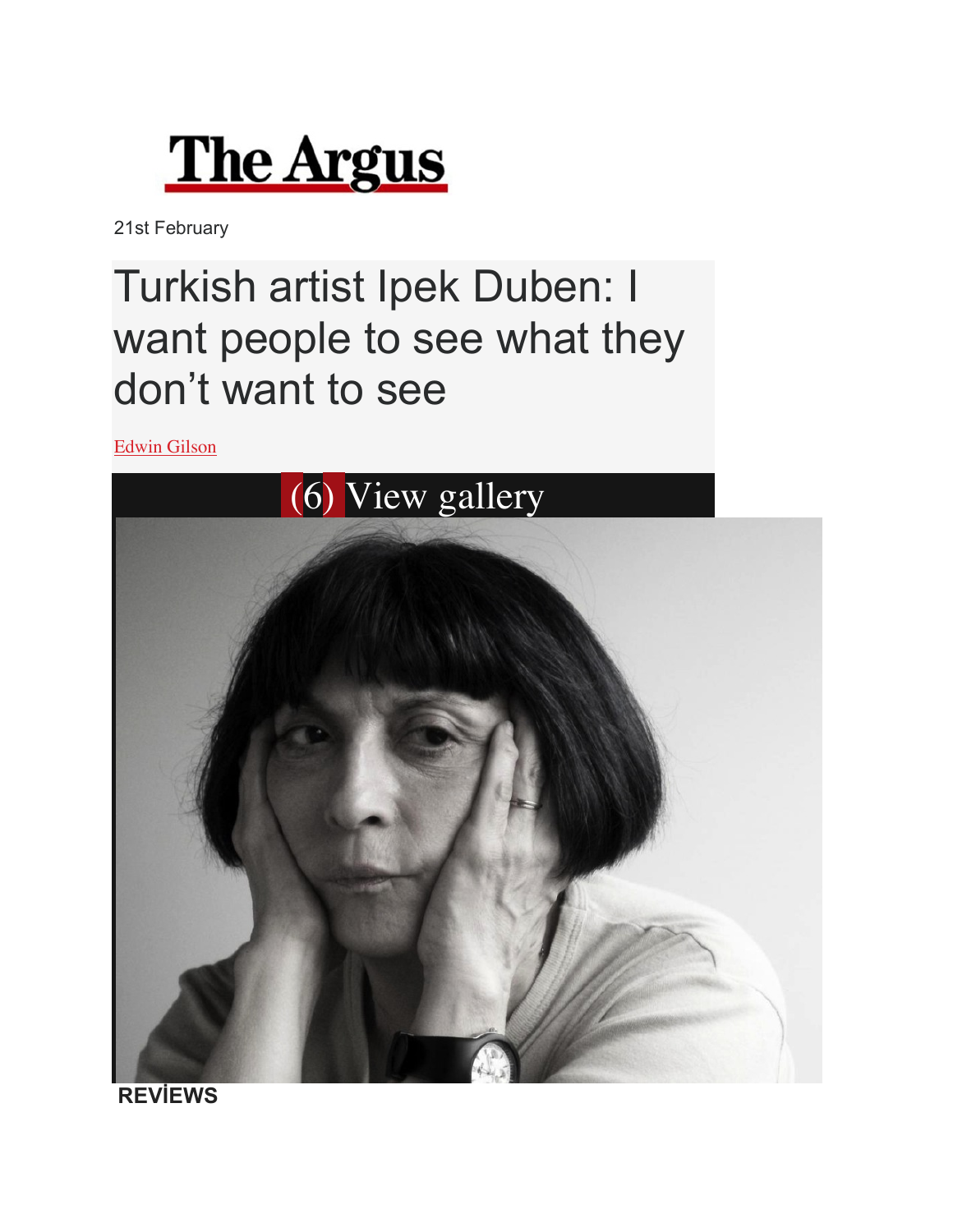

21st February

## Turkish artist Ipek Duben: I want people to see what they don't want to see

Edwin Gilson



**REVİEWS**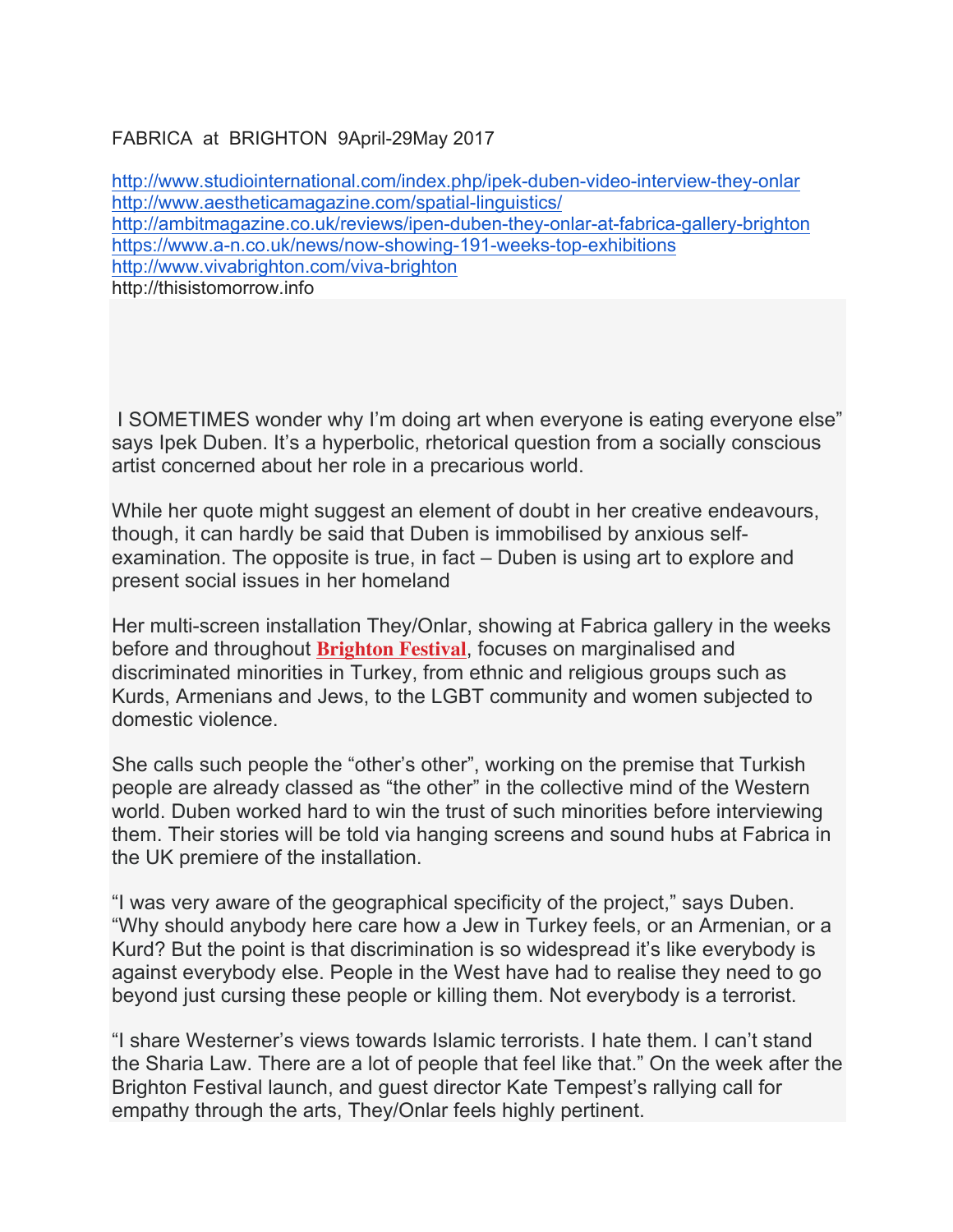FABRICA at BRIGHTON 9April-29May 2017

http://www.studiointernational.com/index.php/ipek-duben-video-interview-they-onlar http://www.aestheticamagazine.com/spatial-linguistics/ http://ambitmagazine.co.uk/reviews/ipen-duben-they-onlar-at-fabrica-gallery-brighton https://www.a-n.co.uk/news/now-showing-191-weeks-top-exhibitions http://www.vivabrighton.com/viva-brighton http://thisistomorrow.info

I SOMETIMES wonder why I'm doing art when everyone is eating everyone else" says Ipek Duben. It's a hyperbolic, rhetorical question from a socially conscious artist concerned about her role in a precarious world.

While her quote might suggest an element of doubt in her creative endeavours, though, it can hardly be said that Duben is immobilised by anxious selfexamination. The opposite is true, in fact – Duben is using art to explore and present social issues in her homeland

Her multi-screen installation They/Onlar, showing at Fabrica gallery in the weeks before and throughout **Brighton Festival**, focuses on marginalised and discriminated minorities in Turkey, from ethnic and religious groups such as Kurds, Armenians and Jews, to the LGBT community and women subjected to domestic violence.

She calls such people the "other's other", working on the premise that Turkish people are already classed as "the other" in the collective mind of the Western world. Duben worked hard to win the trust of such minorities before interviewing them. Their stories will be told via hanging screens and sound hubs at Fabrica in the UK premiere of the installation.

"I was very aware of the geographical specificity of the project," says Duben. "Why should anybody here care how a Jew in Turkey feels, or an Armenian, or a Kurd? But the point is that discrimination is so widespread it's like everybody is against everybody else. People in the West have had to realise they need to go beyond just cursing these people or killing them. Not everybody is a terrorist.

"I share Westerner's views towards Islamic terrorists. I hate them. I can't stand the Sharia Law. There are a lot of people that feel like that." On the week after the Brighton Festival launch, and guest director Kate Tempest's rallying call for empathy through the arts, They/Onlar feels highly pertinent.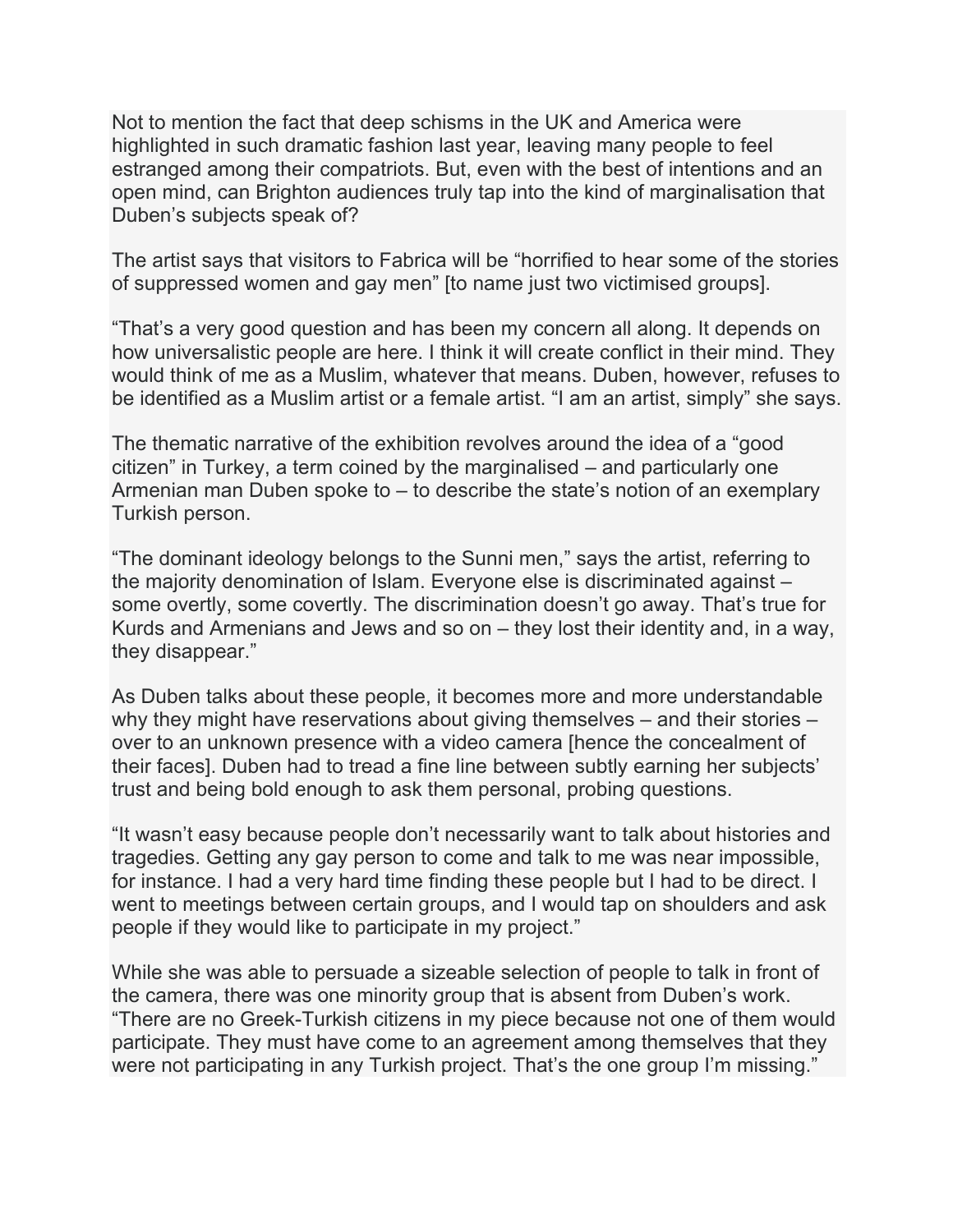Not to mention the fact that deep schisms in the UK and America were highlighted in such dramatic fashion last year, leaving many people to feel estranged among their compatriots. But, even with the best of intentions and an open mind, can Brighton audiences truly tap into the kind of marginalisation that Duben's subjects speak of?

The artist says that visitors to Fabrica will be "horrified to hear some of the stories of suppressed women and gay men" [to name just two victimised groups].

"That's a very good question and has been my concern all along. It depends on how universalistic people are here. I think it will create conflict in their mind. They would think of me as a Muslim, whatever that means. Duben, however, refuses to be identified as a Muslim artist or a female artist. "I am an artist, simply" she says.

The thematic narrative of the exhibition revolves around the idea of a "good citizen" in Turkey, a term coined by the marginalised – and particularly one Armenian man Duben spoke to – to describe the state's notion of an exemplary Turkish person.

"The dominant ideology belongs to the Sunni men," says the artist, referring to the majority denomination of Islam. Everyone else is discriminated against – some overtly, some covertly. The discrimination doesn't go away. That's true for Kurds and Armenians and Jews and so on – they lost their identity and, in a way, they disappear."

As Duben talks about these people, it becomes more and more understandable why they might have reservations about giving themselves – and their stories – over to an unknown presence with a video camera [hence the concealment of their faces]. Duben had to tread a fine line between subtly earning her subjects' trust and being bold enough to ask them personal, probing questions.

"It wasn't easy because people don't necessarily want to talk about histories and tragedies. Getting any gay person to come and talk to me was near impossible, for instance. I had a very hard time finding these people but I had to be direct. I went to meetings between certain groups, and I would tap on shoulders and ask people if they would like to participate in my project."

While she was able to persuade a sizeable selection of people to talk in front of the camera, there was one minority group that is absent from Duben's work. "There are no Greek-Turkish citizens in my piece because not one of them would participate. They must have come to an agreement among themselves that they were not participating in any Turkish project. That's the one group I'm missing."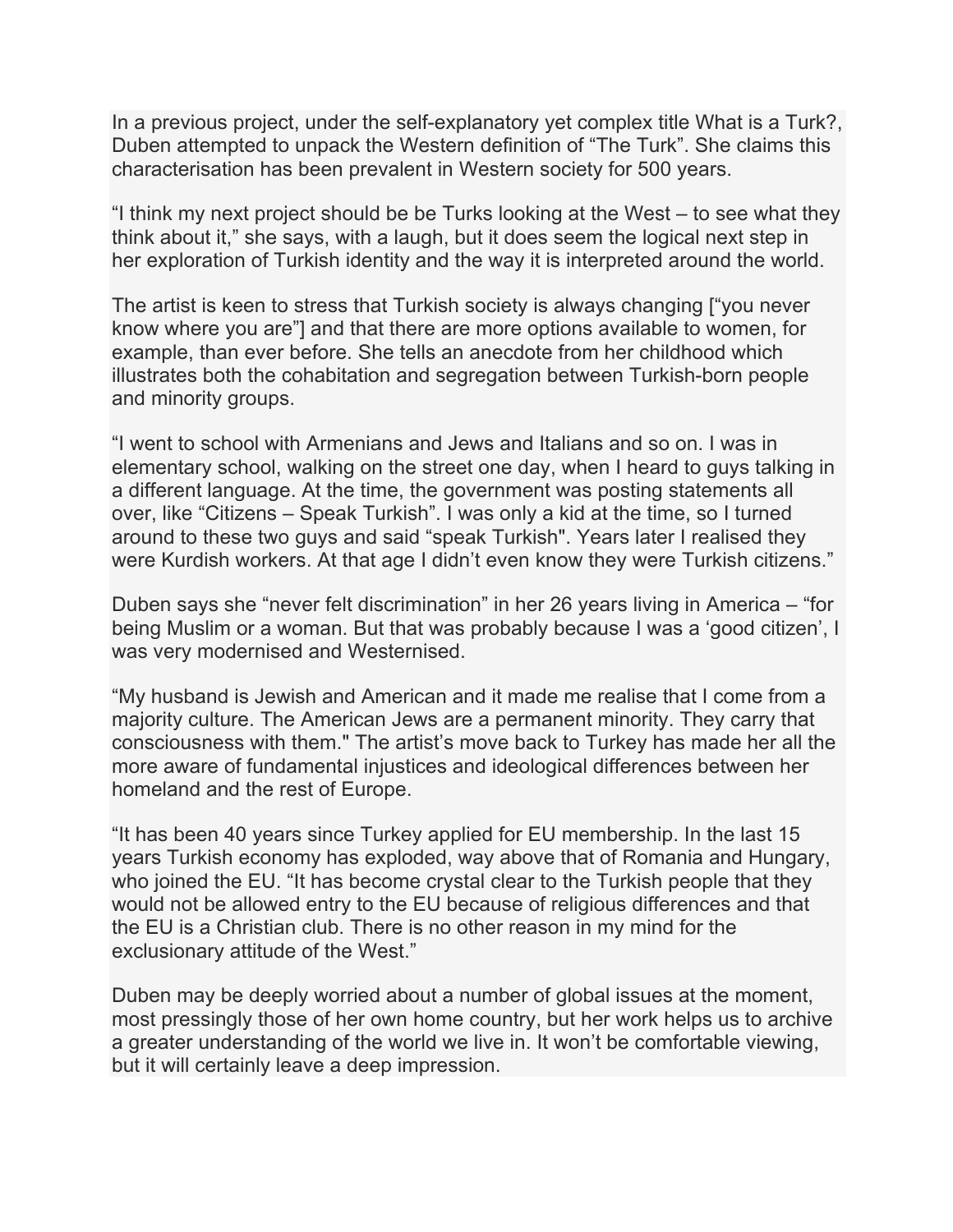In a previous project, under the self-explanatory yet complex title What is a Turk?, Duben attempted to unpack the Western definition of "The Turk". She claims this characterisation has been prevalent in Western society for 500 years.

"I think my next project should be be Turks looking at the West – to see what they think about it," she says, with a laugh, but it does seem the logical next step in her exploration of Turkish identity and the way it is interpreted around the world.

The artist is keen to stress that Turkish society is always changing ["you never know where you are"] and that there are more options available to women, for example, than ever before. She tells an anecdote from her childhood which illustrates both the cohabitation and segregation between Turkish-born people and minority groups.

"I went to school with Armenians and Jews and Italians and so on. I was in elementary school, walking on the street one day, when I heard to guys talking in a different language. At the time, the government was posting statements all over, like "Citizens – Speak Turkish". I was only a kid at the time, so I turned around to these two guys and said "speak Turkish". Years later I realised they were Kurdish workers. At that age I didn't even know they were Turkish citizens."

Duben says she "never felt discrimination" in her 26 years living in America – "for being Muslim or a woman. But that was probably because I was a 'good citizen', I was very modernised and Westernised.

"My husband is Jewish and American and it made me realise that I come from a majority culture. The American Jews are a permanent minority. They carry that consciousness with them." The artist's move back to Turkey has made her all the more aware of fundamental injustices and ideological differences between her homeland and the rest of Europe.

"It has been 40 years since Turkey applied for EU membership. In the last 15 years Turkish economy has exploded, way above that of Romania and Hungary, who joined the EU. "It has become crystal clear to the Turkish people that they would not be allowed entry to the EU because of religious differences and that the EU is a Christian club. There is no other reason in my mind for the exclusionary attitude of the West."

Duben may be deeply worried about a number of global issues at the moment, most pressingly those of her own home country, but her work helps us to archive a greater understanding of the world we live in. It won't be comfortable viewing, but it will certainly leave a deep impression.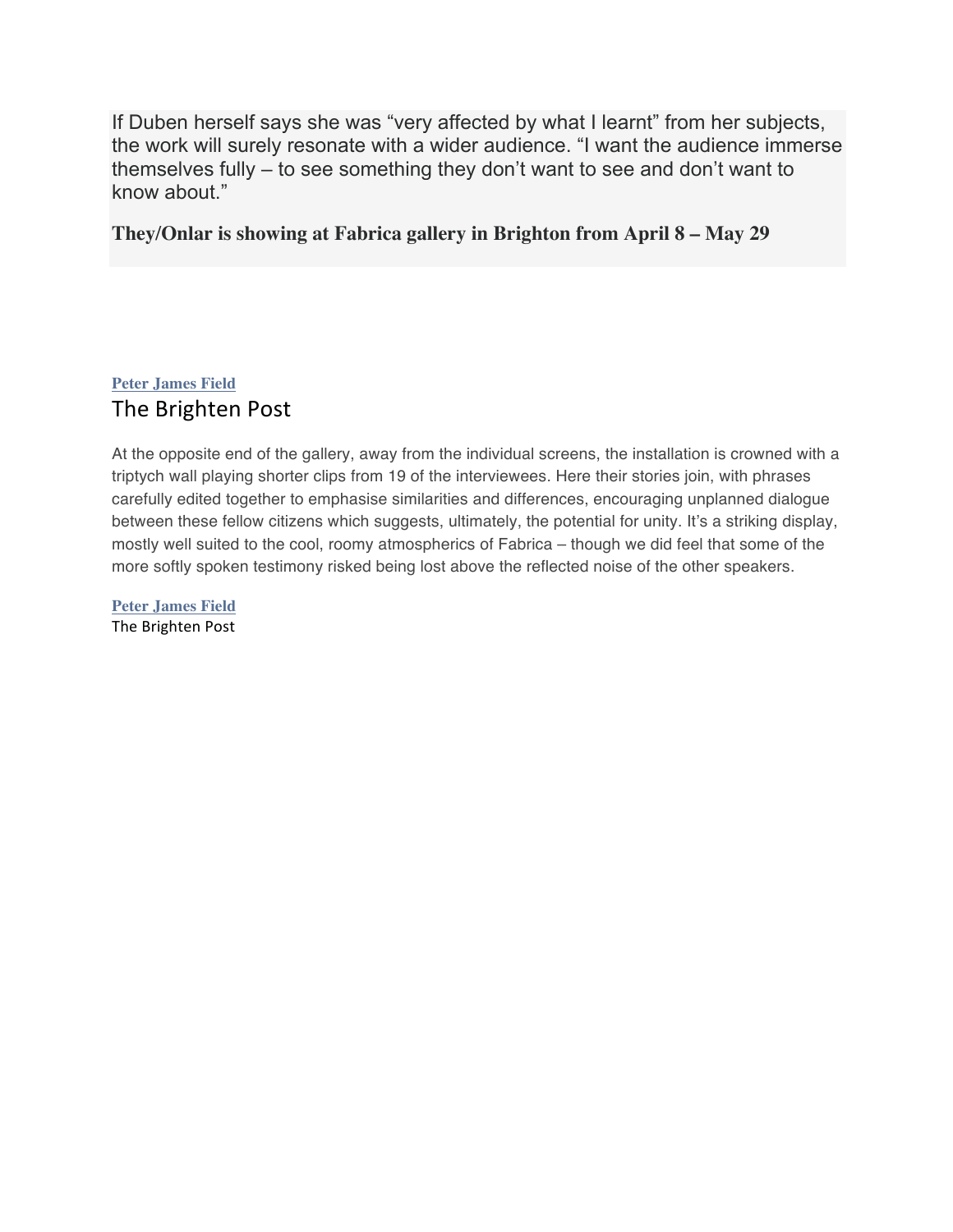If Duben herself says she was "very affected by what I learnt" from her subjects, the work will surely resonate with a wider audience. "I want the audience immerse themselves fully – to see something they don't want to see and don't want to know about."

#### **They/Onlar is showing at Fabrica gallery in Brighton from April 8 – May 29**

#### **Peter James Field** The Brighten Post

At the opposite end of the gallery, away from the individual screens, the installation is crowned with a triptych wall playing shorter clips from 19 of the interviewees. Here their stories join, with phrases carefully edited together to emphasise similarities and differences, encouraging unplanned dialogue between these fellow citizens which suggests, ultimately, the potential for unity. It's a striking display, mostly well suited to the cool, roomy atmospherics of Fabrica – though we did feel that some of the more softly spoken testimony risked being lost above the reflected noise of the other speakers.

**Peter James Field** The Brighten Post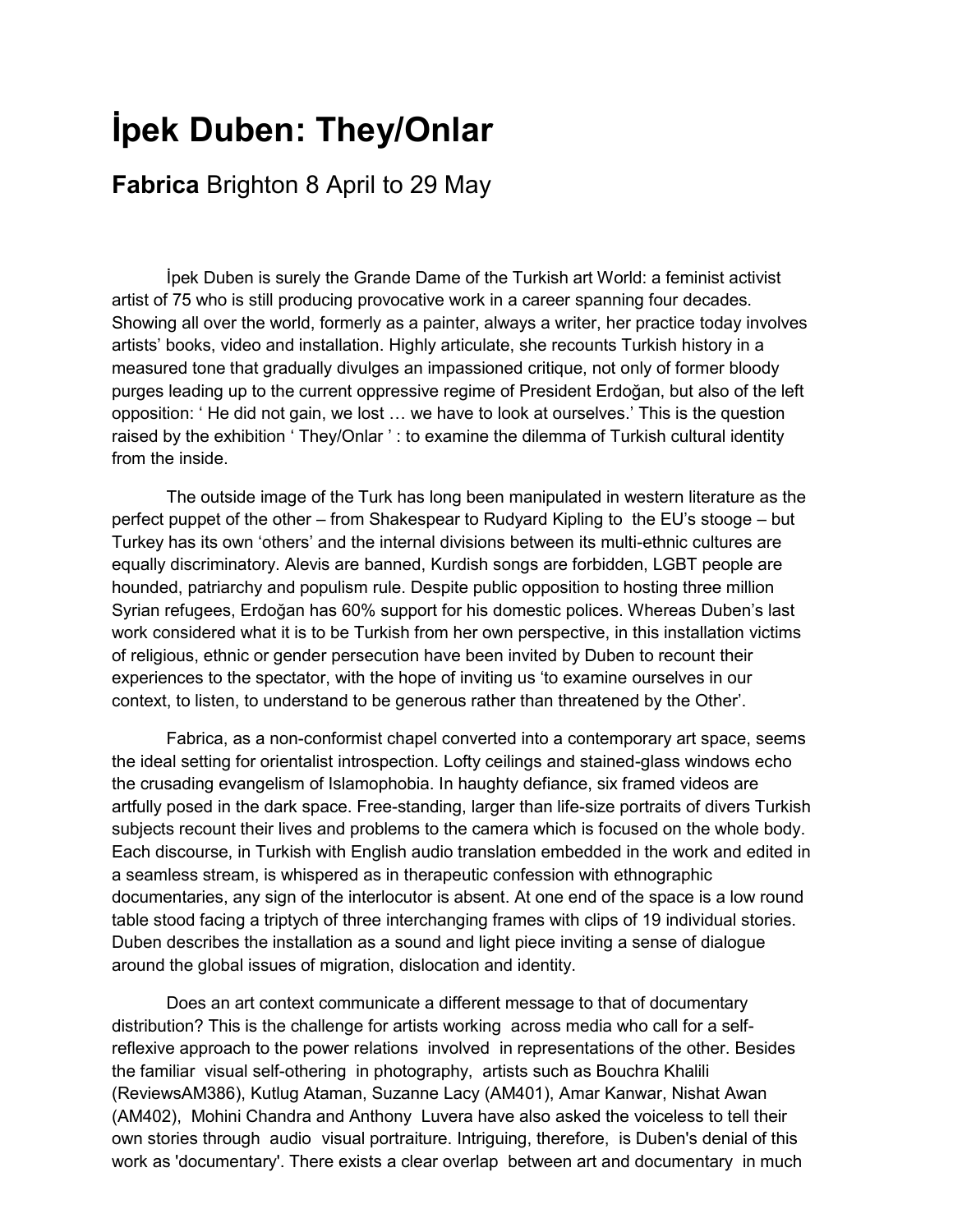## **İpek Duben: They/Onlar**

#### **Fabrica** Brighton 8 April to 29 May

İpek Duben is surely the Grande Dame of the Turkish art World: a feminist activist artist of 75 who is still producing provocative work in a career spanning four decades. Showing all over the world, formerly as a painter, always a writer, her practice today involves artists' books, video and installation. Highly articulate, she recounts Turkish history in a measured tone that gradually divulges an impassioned critique, not only of former bloody purges leading up to the current oppressive regime of President Erdoğan, but also of the left opposition: ' He did not gain, we lost … we have to look at ourselves.' This is the question raised by the exhibition ' They/Onlar': to examine the dilemma of Turkish cultural identity from the inside.

The outside image of the Turk has long been manipulated in western literature as the perfect puppet of the other – from Shakespear to Rudyard Kipling to the EU's stooge – but Turkey has its own 'others' and the internal divisions between its multi-ethnic cultures are equally discriminatory. Alevis are banned, Kurdish songs are forbidden, LGBT people are hounded, patriarchy and populism rule. Despite public opposition to hosting three million Syrian refugees, Erdoğan has 60% support for his domestic polices. Whereas Duben's last work considered what it is to be Turkish from her own perspective, in this installation victims of religious, ethnic or gender persecution have been invited by Duben to recount their experiences to the spectator, with the hope of inviting us 'to examine ourselves in our context, to listen, to understand to be generous rather than threatened by the Other'.

Fabrica, as a non-conformist chapel converted into a contemporary art space, seems the ideal setting for orientalist introspection. Lofty ceilings and stained-glass windows echo the crusading evangelism of Islamophobia. In haughty defiance, six framed videos are artfully posed in the dark space. Free-standing, larger than life-size portraits of divers Turkish subjects recount their lives and problems to the camera which is focused on the whole body. Each discourse, in Turkish with English audio translation embedded in the work and edited in a seamless stream, is whispered as in therapeutic confession with ethnographic documentaries, any sign of the interlocutor is absent. At one end of the space is a low round table stood facing a triptych of three interchanging frames with clips of 19 individual stories. Duben describes the installation as a sound and light piece inviting a sense of dialogue around the global issues of migration, dislocation and identity.

Does an art context communicate a different message to that of documentary distribution? This is the challenge for artists working across media who call for a selfreflexive approach to the power relations involved in representations of the other. Besides the familiar visual self-othering in photography, artists such as Bouchra Khalili (ReviewsAM386), Kutlug Ataman, Suzanne Lacy (AM401), Amar Kanwar, Nishat Awan (AM402), Mohini Chandra and Anthony Luvera have also asked the voiceless to tell their own stories through audio visual portraiture. Intriguing, therefore, is Duben's denial of this work as 'documentary'. There exists a clear overlap between art and documentary in much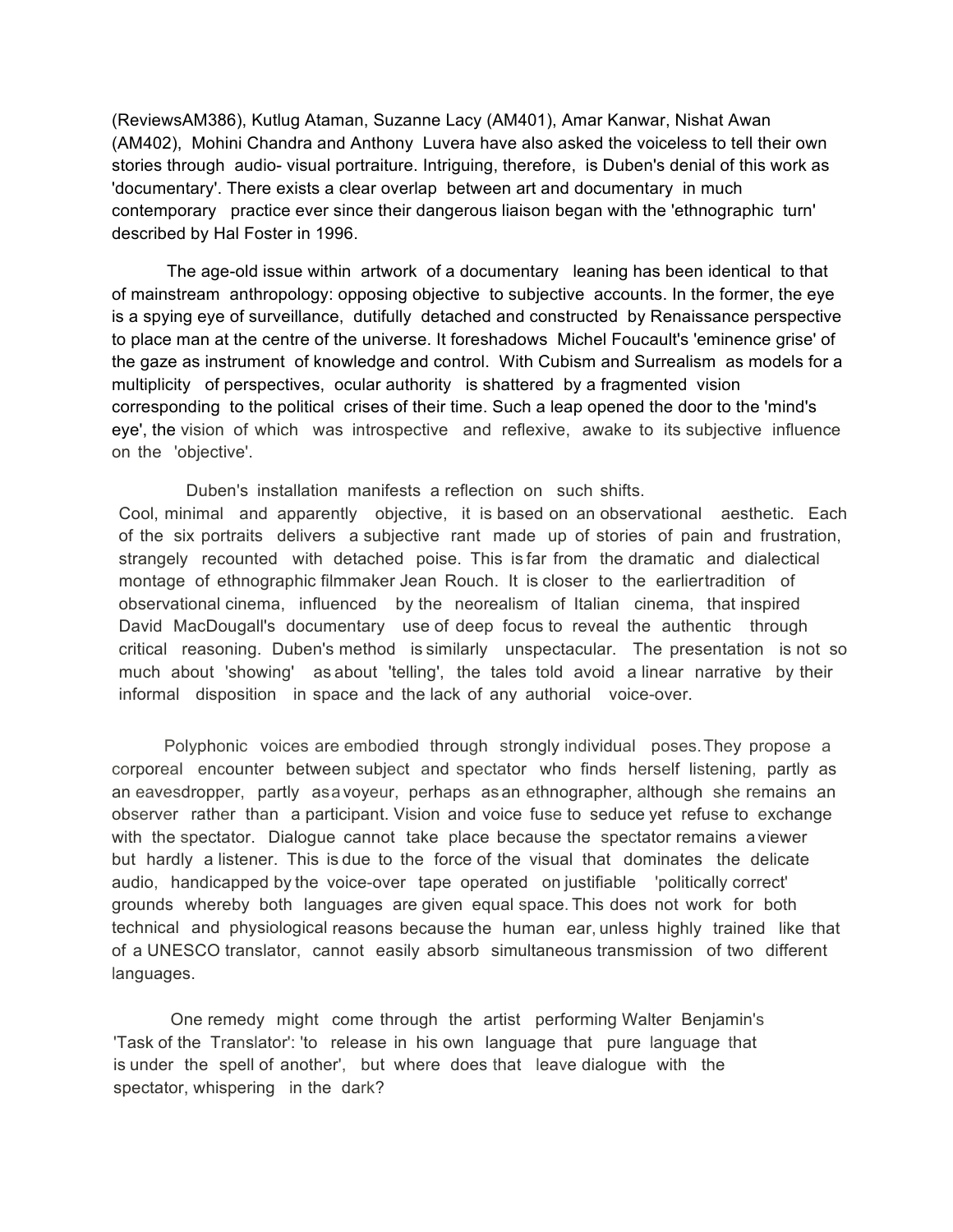(ReviewsAM386), Kutlug Ataman, Suzanne Lacy (AM401), Amar Kanwar, Nishat Awan (AM402), Mohini Chandra and Anthony Luvera have also asked the voiceless to tell their own stories through audio- visual portraiture. Intriguing, therefore, is Duben's denial of this work as 'documentary'. There exists a clear overlap between art and documentary in much contemporary practice ever since their dangerous liaison began with the 'ethnographic turn' described by Hal Foster in 1996.

The age-old issue within artwork of a documentary leaning has been identical to that of mainstream anthropology: opposing objective to subjective accounts. In the former, the eye is a spying eye of surveillance, dutifully detached and constructed by Renaissance perspective to place man at the centre of the universe. It foreshadows Michel Foucault's 'eminence grise' of the gaze as instrument of knowledge and control. With Cubism and Surrealism as models for a multiplicity of perspectives, ocular authority is shattered by a fragmented vision corresponding to the political crises of their time. Such a leap opened the door to the 'mind's eye', the vision of which was introspective and reflexive, awake to its subjective influence on the 'objective'.

Duben's installation manifests a reflection on such shifts. Cool, minimal and apparently objective, it is based on an observational aesthetic. Each of the six portraits delivers a subjective rant made up of stories of pain and frustration, strangely recounted with detached poise. This is far from the dramatic and dialectical montage of ethnographic filmmaker Jean Rouch. It is closer to the earliertradition of observational cinema, influenced by the neorealism of Italian cinema, that inspired David MacDougall's documentary use of deep focus to reveal the authentic through critical reasoning. Duben's method is similarly unspectacular. The presentation is not so much about 'showing' as about 'telling', the tales told avoid a linear narrative by their informal disposition in space and the lack of any authorial voice-over.

 Polyphonic voices are embodied through strongly individual poses.They propose a corporeal encounter between subject and spectator who finds herself listening, partly as an eavesdropper, partly asa voyeur, perhaps as an ethnographer, although she remains an observer rather than a participant. Vision and voice fuse to seduce yet refuse to exchange with the spectator. Dialogue cannot take place because the spectator remains a viewer but hardly a listener. This is due to the force of the visual that dominates the delicate audio, handicapped by the voice-over tape operated on justifiable 'politically correct' grounds whereby both languages are given equal space. This does not work for both technical and physiological reasons because the human ear, unless highly trained like that of a UNESCO translator, cannot easily absorb simultaneous transmission of two different languages.

 One remedy might come through the artist performing Walter Benjamin's 'Task of the Translator': 'to release in his own language that pure language that is under the spell of another', but where does that leave dialogue with the spectator, whispering in the dark?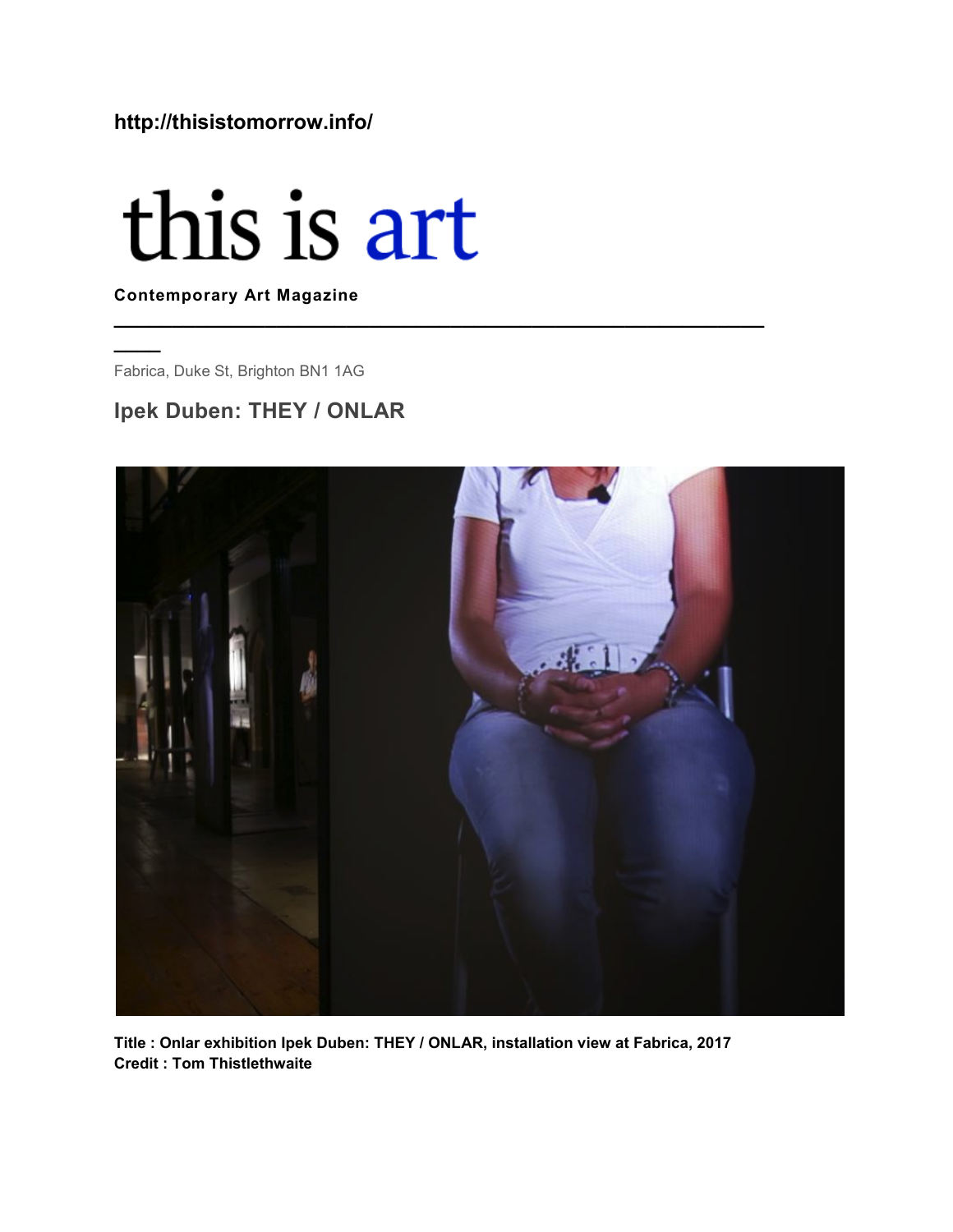#### **http://thisistomorrow.info/**

# this is art

**Contemporary Art Magazine**

Fabrica, Duke St, Brighton BN1 1AG

**\_\_\_\_**

#### **Ipek Duben: THEY / ONLAR**



**\_\_\_\_\_\_\_\_\_\_\_\_\_\_\_\_\_\_\_\_\_\_\_\_\_\_\_\_\_\_\_\_\_\_\_\_\_\_\_\_\_\_\_\_\_\_\_\_\_\_\_\_\_\_\_\_**

**Title : Onlar exhibition Ipek Duben: THEY / ONLAR, installation view at Fabrica, 2017 Credit : Tom Thistlethwaite**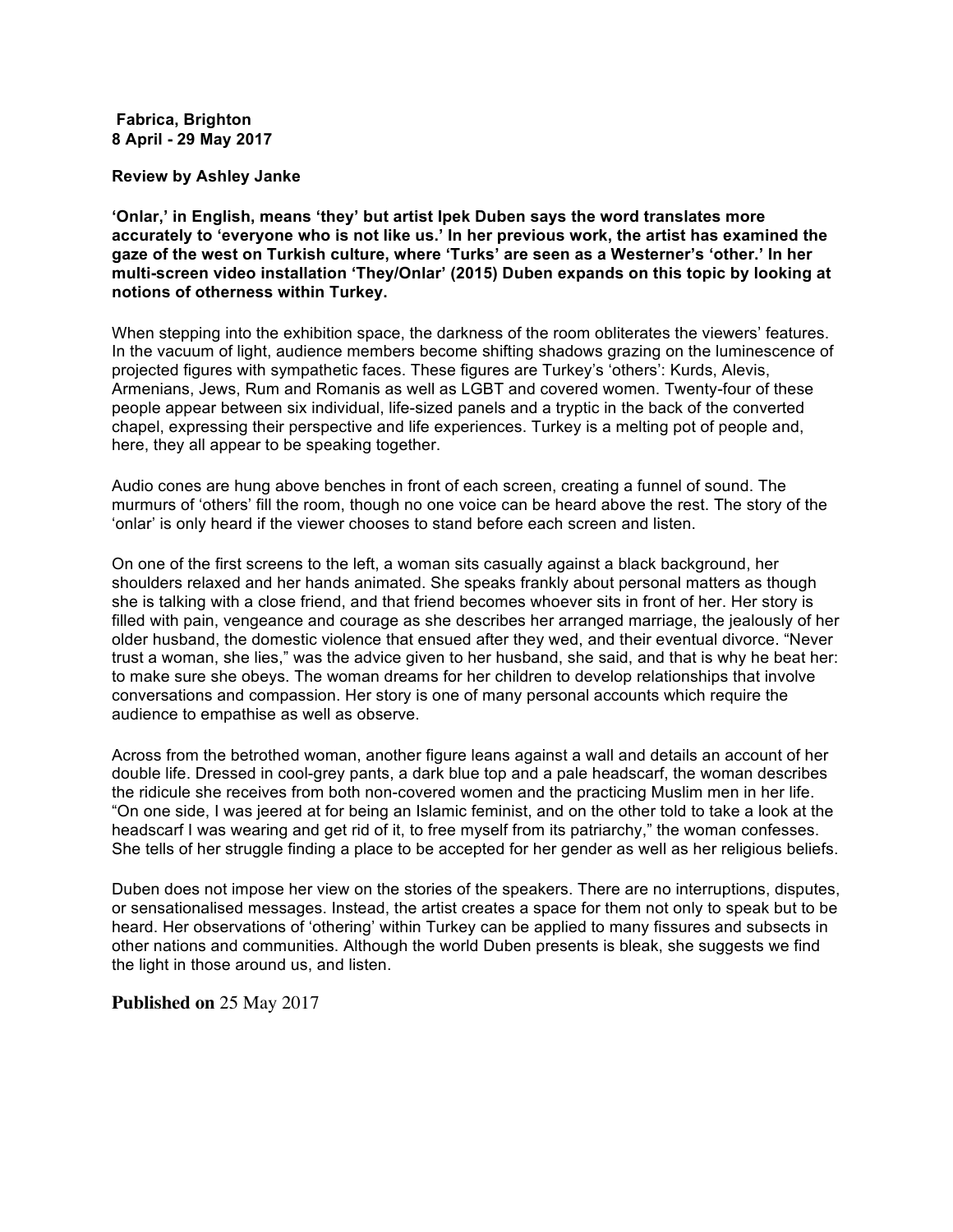#### **Fabrica, Brighton 8 April - 29 May 2017**

**Review by Ashley Janke**

**'Onlar,' in English, means 'they' but artist Ipek Duben says the word translates more accurately to 'everyone who is not like us.' In her previous work, the artist has examined the gaze of the west on Turkish culture, where 'Turks' are seen as a Westerner's 'other.' In her multi-screen video installation 'They/Onlar' (2015) Duben expands on this topic by looking at notions of otherness within Turkey.**

When stepping into the exhibition space, the darkness of the room obliterates the viewers' features. In the vacuum of light, audience members become shifting shadows grazing on the luminescence of projected figures with sympathetic faces. These figures are Turkey's 'others': Kurds, Alevis, Armenians, Jews, Rum and Romanis as well as LGBT and covered women. Twenty-four of these people appear between six individual, life-sized panels and a tryptic in the back of the converted chapel, expressing their perspective and life experiences. Turkey is a melting pot of people and, here, they all appear to be speaking together.

Audio cones are hung above benches in front of each screen, creating a funnel of sound. The murmurs of 'others' fill the room, though no one voice can be heard above the rest. The story of the 'onlar' is only heard if the viewer chooses to stand before each screen and listen.

On one of the first screens to the left, a woman sits casually against a black background, her shoulders relaxed and her hands animated. She speaks frankly about personal matters as though she is talking with a close friend, and that friend becomes whoever sits in front of her. Her story is filled with pain, vengeance and courage as she describes her arranged marriage, the jealously of her older husband, the domestic violence that ensued after they wed, and their eventual divorce. "Never trust a woman, she lies," was the advice given to her husband, she said, and that is why he beat her: to make sure she obeys. The woman dreams for her children to develop relationships that involve conversations and compassion. Her story is one of many personal accounts which require the audience to empathise as well as observe.

Across from the betrothed woman, another figure leans against a wall and details an account of her double life. Dressed in cool-grey pants, a dark blue top and a pale headscarf, the woman describes the ridicule she receives from both non-covered women and the practicing Muslim men in her life. "On one side, I was jeered at for being an Islamic feminist, and on the other told to take a look at the headscarf I was wearing and get rid of it, to free myself from its patriarchy," the woman confesses. She tells of her struggle finding a place to be accepted for her gender as well as her religious beliefs.

Duben does not impose her view on the stories of the speakers. There are no interruptions, disputes, or sensationalised messages. Instead, the artist creates a space for them not only to speak but to be heard. Her observations of 'othering' within Turkey can be applied to many fissures and subsects in other nations and communities. Although the world Duben presents is bleak, she suggests we find the light in those around us, and listen.

**Published on** 25 May 2017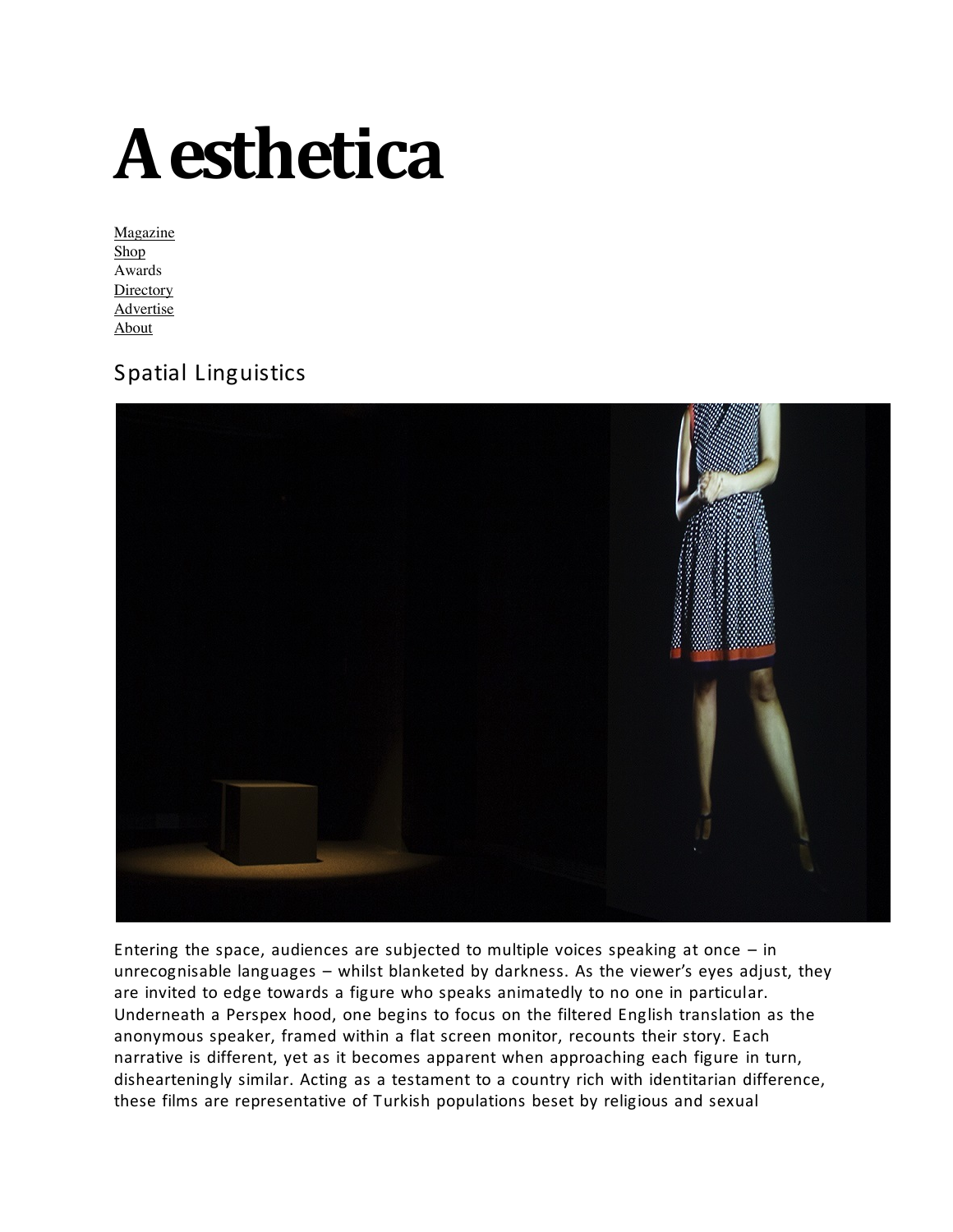## • **Aesthetica**

**Magazine** • Shop • Awards **Directory Advertise** • About

#### Spatial Linguistics



Entering the space, audiences are subjected to multiple voices speaking at once  $-$  in unrecognisable languages  $-$  whilst blanketed by darkness. As the viewer's eyes adjust, they are invited to edge towards a figure who speaks animatedly to no one in particular. Underneath a Perspex hood, one begins to focus on the filtered English translation as the anonymous speaker, framed within a flat screen monitor, recounts their story. Each narrative is different, yet as it becomes apparent when approaching each figure in turn, dishearteningly similar. Acting as a testament to a country rich with identitarian difference, these films are representative of Turkish populations beset by religious and sexual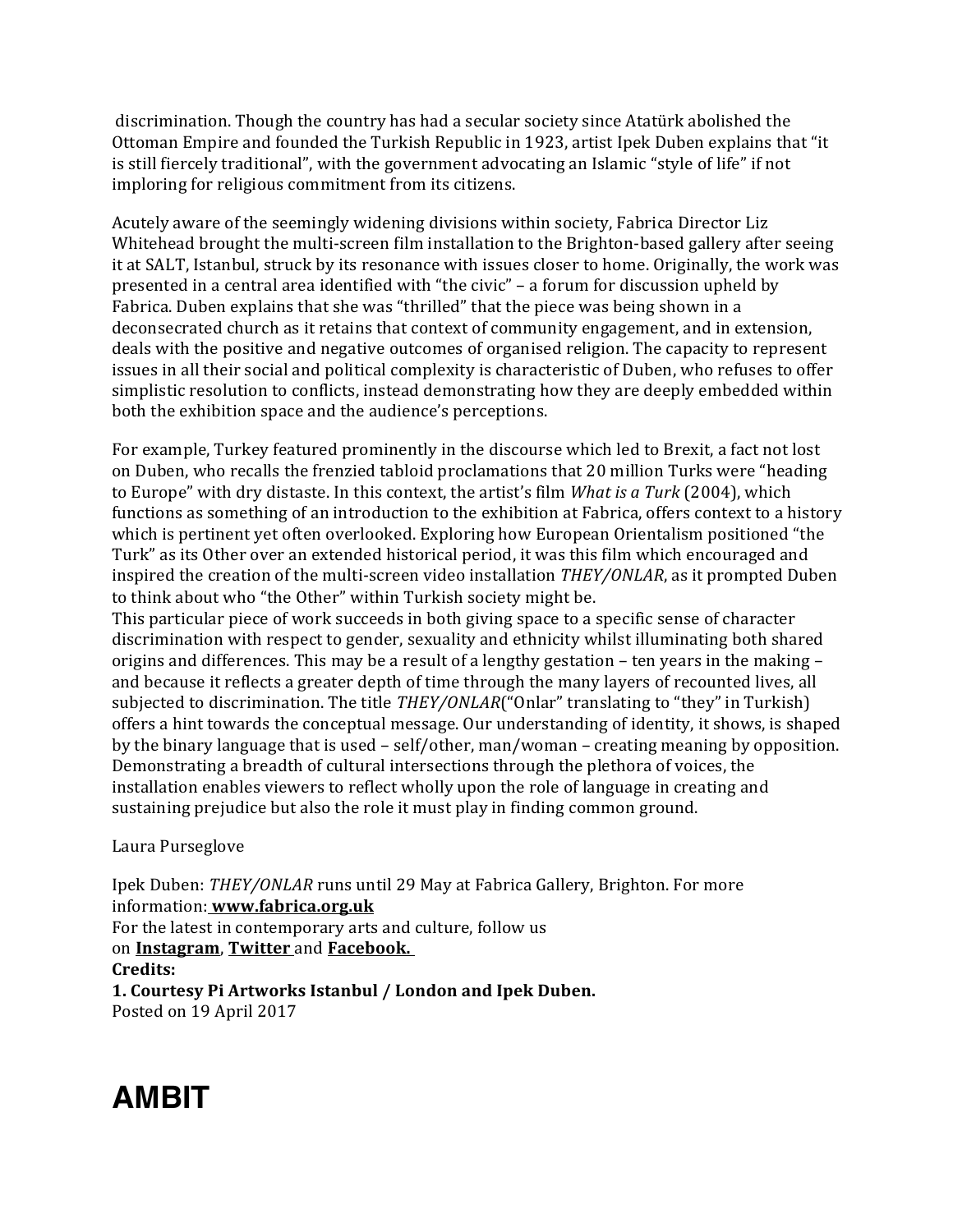discrimination. Though the country has had a secular society since Atatürk abolished the Ottoman Empire and founded the Turkish Republic in 1923, artist Ipek Duben explains that "it is still fiercely traditional", with the government advocating an Islamic "style of life" if not imploring for religious commitment from its citizens.

Acutely aware of the seemingly widening divisions within society, Fabrica Director Liz Whitehead brought the multi-screen film installation to the Brighton-based gallery after seeing it at SALT, Istanbul, struck by its resonance with issues closer to home. Originally, the work was presented in a central area identified with "the civic" – a forum for discussion upheld by Fabrica. Duben explains that she was "thrilled" that the piece was being shown in a deconsecrated church as it retains that context of community engagement, and in extension, deals with the positive and negative outcomes of organised religion. The capacity to represent issues in all their social and political complexity is characteristic of Duben, who refuses to offer simplistic resolution to conflicts, instead demonstrating how they are deeply embedded within both the exhibition space and the audience's perceptions.

For example, Turkey featured prominently in the discourse which led to Brexit, a fact not lost on Duben, who recalls the frenzied tabloid proclamations that 20 million Turks were "heading to Europe" with dry distaste. In this context, the artist's film *What is a Turk* (2004), which functions as something of an introduction to the exhibition at Fabrica, offers context to a history which is pertinent yet often overlooked. Exploring how European Orientalism positioned "the Turk" as its Other over an extended historical period, it was this film which encouraged and inspired the creation of the multi-screen video installation *THEY/ONLAR*, as it prompted Duben to think about who "the Other" within Turkish society might be.

This particular piece of work succeeds in both giving space to a specific sense of character discrimination with respect to gender, sexuality and ethnicity whilst illuminating both shared origins and differences. This may be a result of a lengthy gestation – ten years in the making – and because it reflects a greater depth of time through the many layers of recounted lives, all subjected to discrimination. The title *THEY/ONLAR*("Onlar" translating to "they" in Turkish) offers a hint towards the conceptual message. Our understanding of identity, it shows, is shaped by the binary language that is used  $-$  self/other, man/woman  $-$  creating meaning by opposition. Demonstrating a breadth of cultural intersections through the plethora of voices, the installation enables viewers to reflect wholly upon the role of language in creating and sustaining prejudice but also the role it must play in finding common ground.

#### Laura Purseglove

Ipek Duben: *THEY/ONLAR* runs until 29 May at Fabrica Gallery, Brighton. For more information: **www.fabrica.org.uk** For the latest in contemporary arts and culture, follow us on **Instagram**, **Twitter** and **Facebook. Credits: 1. Courtesy Pi Artworks Istanbul / London and Ipek Duben.** Posted on 19 April 2017

### **AMBIT**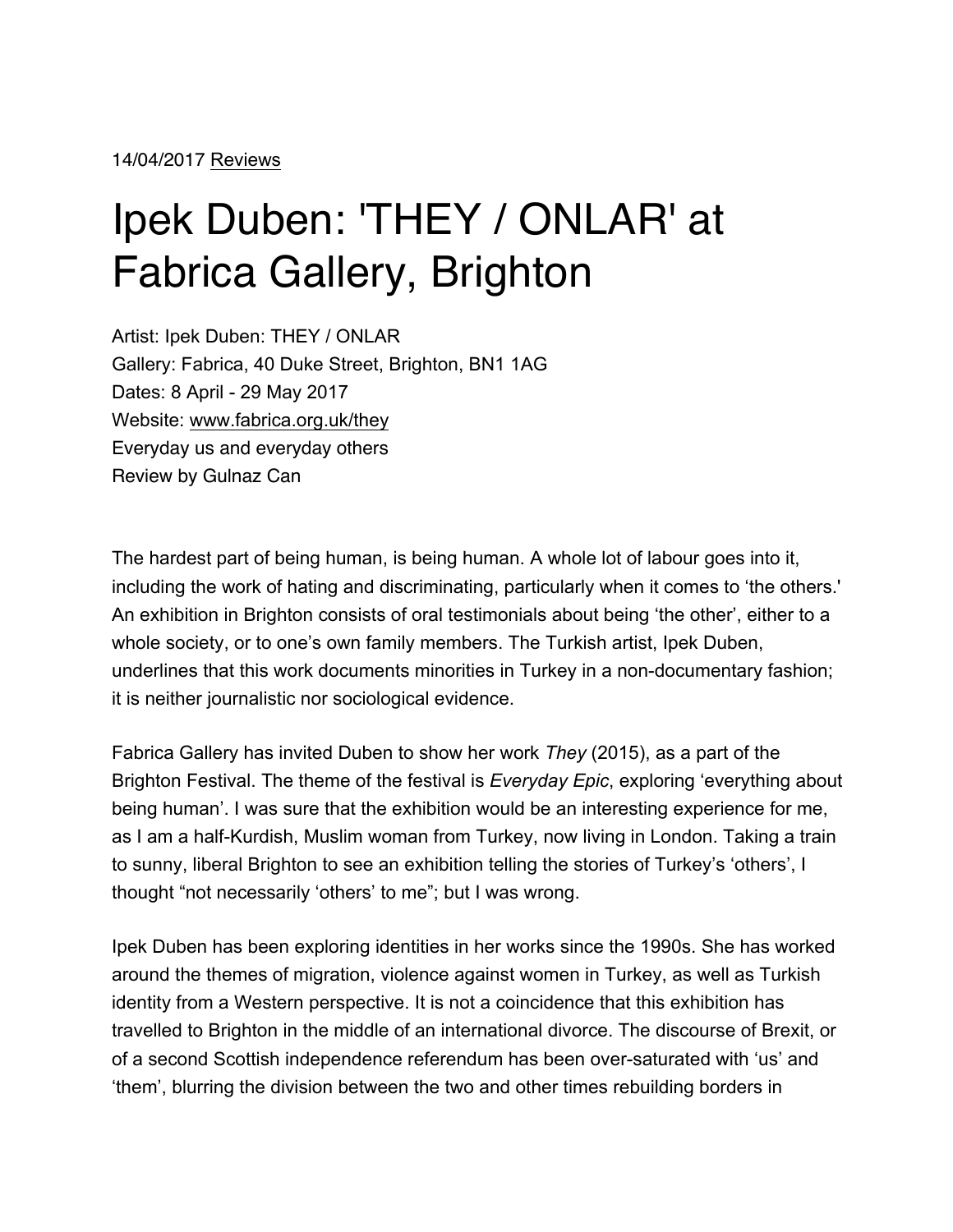## Ipek Duben: 'THEY / ONLAR' at Fabrica Gallery, Brighton

Artist: Ipek Duben: THEY / ONLAR Gallery: Fabrica, 40 Duke Street, Brighton, BN1 1AG Dates: 8 April - 29 May 2017 Website: www.fabrica.org.uk/they Everyday us and everyday others Review by Gulnaz Can

The hardest part of being human, is being human. A whole lot of labour goes into it, including the work of hating and discriminating, particularly when it comes to 'the others.' An exhibition in Brighton consists of oral testimonials about being 'the other', either to a whole society, or to one's own family members. The Turkish artist, Ipek Duben, underlines that this work documents minorities in Turkey in a non-documentary fashion; it is neither journalistic nor sociological evidence.

Fabrica Gallery has invited Duben to show her work *They* (2015), as a part of the Brighton Festival. The theme of the festival is *Everyday Epic*, exploring 'everything about being human'. I was sure that the exhibition would be an interesting experience for me, as I am a half-Kurdish, Muslim woman from Turkey, now living in London. Taking a train to sunny, liberal Brighton to see an exhibition telling the stories of Turkey's 'others', I thought "not necessarily 'others' to me"; but I was wrong.

Ipek Duben has been exploring identities in her works since the 1990s. She has worked around the themes of migration, violence against women in Turkey, as well as Turkish identity from a Western perspective. It is not a coincidence that this exhibition has travelled to Brighton in the middle of an international divorce. The discourse of Brexit, or of a second Scottish independence referendum has been over-saturated with 'us' and 'them', blurring the division between the two and other times rebuilding borders in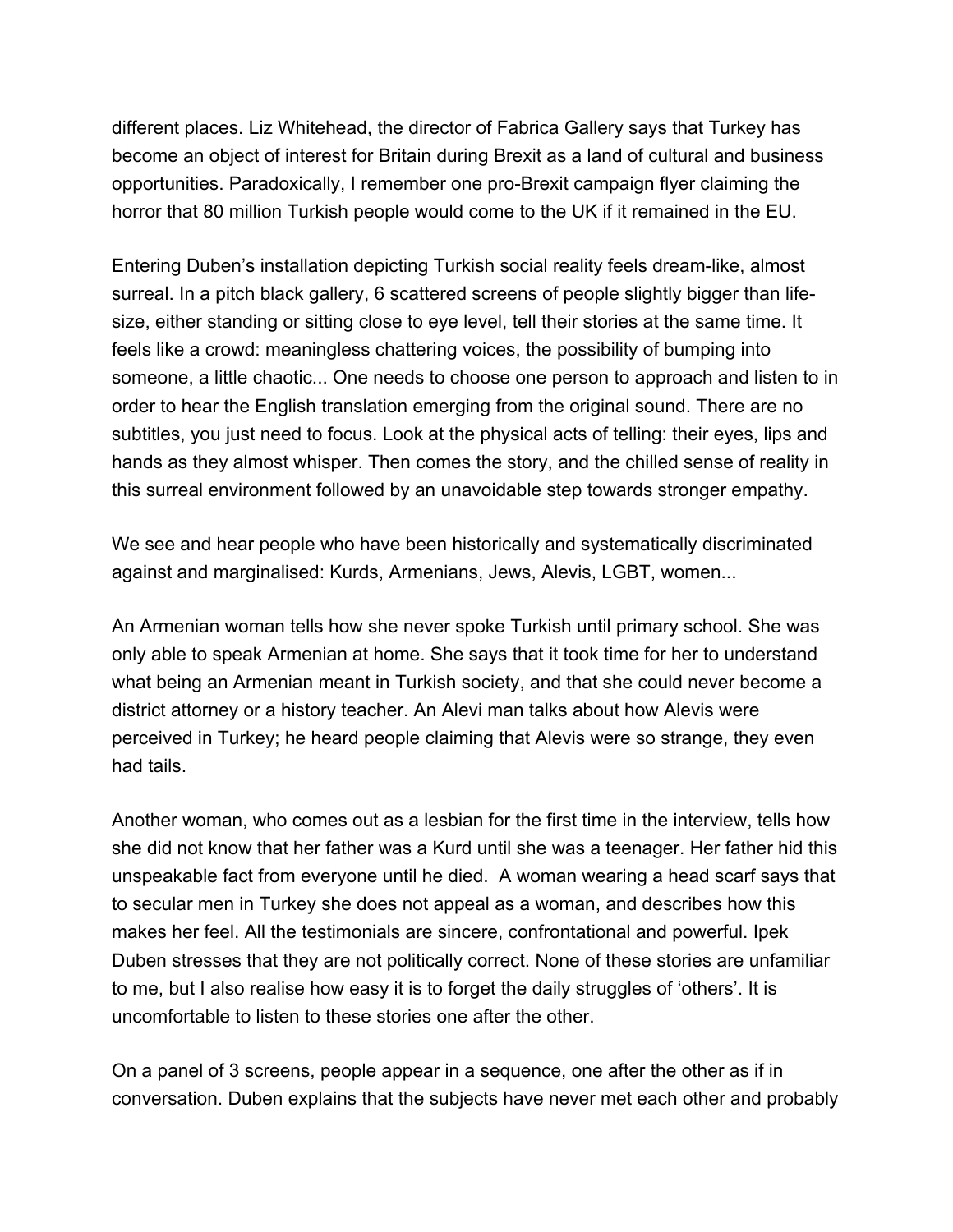different places. Liz Whitehead, the director of Fabrica Gallery says that Turkey has become an object of interest for Britain during Brexit as a land of cultural and business opportunities. Paradoxically, I remember one pro-Brexit campaign flyer claiming the horror that 80 million Turkish people would come to the UK if it remained in the EU.

Entering Duben's installation depicting Turkish social reality feels dream-like, almost surreal. In a pitch black gallery, 6 scattered screens of people slightly bigger than lifesize, either standing or sitting close to eye level, tell their stories at the same time. It feels like a crowd: meaningless chattering voices, the possibility of bumping into someone, a little chaotic... One needs to choose one person to approach and listen to in order to hear the English translation emerging from the original sound. There are no subtitles, you just need to focus. Look at the physical acts of telling: their eyes, lips and hands as they almost whisper. Then comes the story, and the chilled sense of reality in this surreal environment followed by an unavoidable step towards stronger empathy.

We see and hear people who have been historically and systematically discriminated against and marginalised: Kurds, Armenians, Jews, Alevis, LGBT, women...

An Armenian woman tells how she never spoke Turkish until primary school. She was only able to speak Armenian at home. She says that it took time for her to understand what being an Armenian meant in Turkish society, and that she could never become a district attorney or a history teacher. An Alevi man talks about how Alevis were perceived in Turkey; he heard people claiming that Alevis were so strange, they even had tails.

Another woman, who comes out as a lesbian for the first time in the interview, tells how she did not know that her father was a Kurd until she was a teenager. Her father hid this unspeakable fact from everyone until he died. A woman wearing a head scarf says that to secular men in Turkey she does not appeal as a woman, and describes how this makes her feel. All the testimonials are sincere, confrontational and powerful. Ipek Duben stresses that they are not politically correct. None of these stories are unfamiliar to me, but I also realise how easy it is to forget the daily struggles of 'others'. It is uncomfortable to listen to these stories one after the other.

On a panel of 3 screens, people appear in a sequence, one after the other as if in conversation. Duben explains that the subjects have never met each other and probably